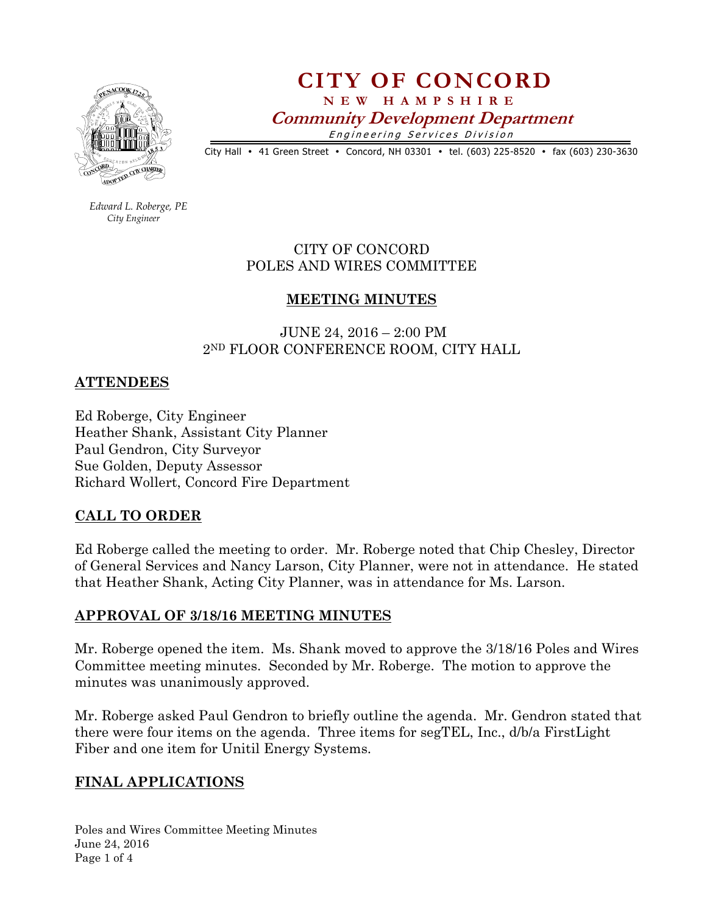

# **CITY OF CONCORD N E W H A M P S H I R E Community Development Department**  Engineering Services Division

City Hall • 41 Green Street • Concord, NH 03301 • tel. (603) 225-8520 • fax (603) 230-3630

 *Edward L. Roberge, PE City Engineer*

## CITY OF CONCORD POLES AND WIRES COMMITTEE

### **MEETING MINUTES**

 JUNE 24, 2016 – 2:00 PM 2ND FLOOR CONFERENCE ROOM, CITY HALL

### **ATTENDEES**

Ed Roberge, City Engineer Heather Shank, Assistant City Planner Paul Gendron, City Surveyor Sue Golden, Deputy Assessor Richard Wollert, Concord Fire Department

### **CALL TO ORDER**

Ed Roberge called the meeting to order. Mr. Roberge noted that Chip Chesley, Director of General Services and Nancy Larson, City Planner, were not in attendance. He stated that Heather Shank, Acting City Planner, was in attendance for Ms. Larson.

### **APPROVAL OF 3/18/16 MEETING MINUTES**

Mr. Roberge opened the item. Ms. Shank moved to approve the 3/18/16 Poles and Wires Committee meeting minutes. Seconded by Mr. Roberge. The motion to approve the minutes was unanimously approved.

Mr. Roberge asked Paul Gendron to briefly outline the agenda. Mr. Gendron stated that there were four items on the agenda. Three items for segTEL, Inc., d/b/a FirstLight Fiber and one item for Unitil Energy Systems.

### **FINAL APPLICATIONS**

Poles and Wires Committee Meeting Minutes June 24, 2016 Page 1 of 4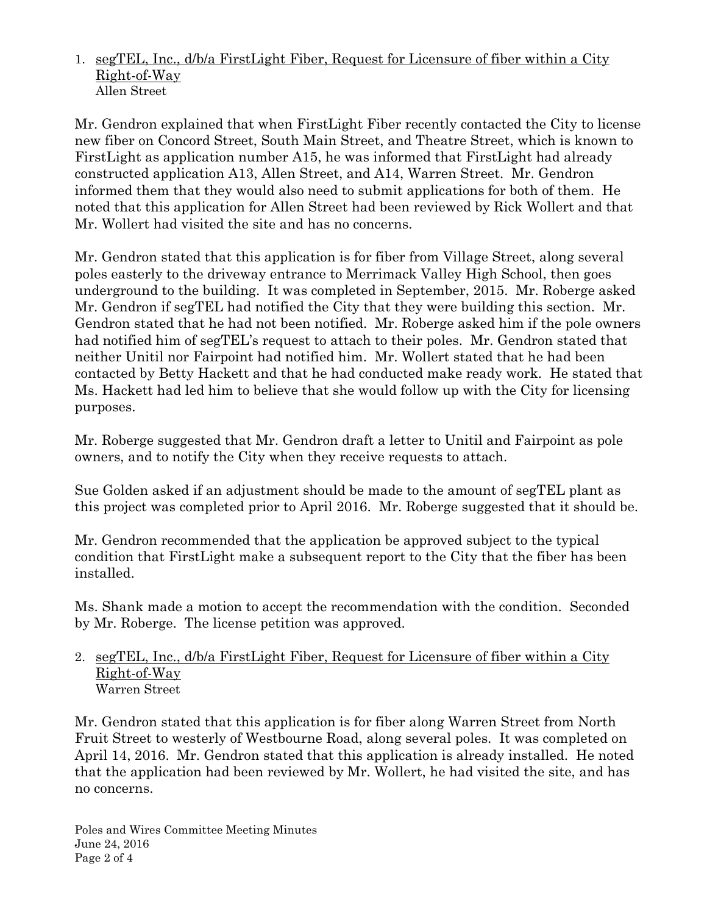### 1. segTEL, Inc., d/b/a FirstLight Fiber, Request for Licensure of fiber within a City Right-of-Way Allen Street

Mr. Gendron explained that when FirstLight Fiber recently contacted the City to license new fiber on Concord Street, South Main Street, and Theatre Street, which is known to FirstLight as application number A15, he was informed that FirstLight had already constructed application A13, Allen Street, and A14, Warren Street. Mr. Gendron informed them that they would also need to submit applications for both of them. He noted that this application for Allen Street had been reviewed by Rick Wollert and that Mr. Wollert had visited the site and has no concerns.

Mr. Gendron stated that this application is for fiber from Village Street, along several poles easterly to the driveway entrance to Merrimack Valley High School, then goes underground to the building. It was completed in September, 2015. Mr. Roberge asked Mr. Gendron if segTEL had notified the City that they were building this section. Mr. Gendron stated that he had not been notified. Mr. Roberge asked him if the pole owners had notified him of segTEL's request to attach to their poles. Mr. Gendron stated that neither Unitil nor Fairpoint had notified him. Mr. Wollert stated that he had been contacted by Betty Hackett and that he had conducted make ready work. He stated that Ms. Hackett had led him to believe that she would follow up with the City for licensing purposes.

Mr. Roberge suggested that Mr. Gendron draft a letter to Unitil and Fairpoint as pole owners, and to notify the City when they receive requests to attach.

Sue Golden asked if an adjustment should be made to the amount of segTEL plant as this project was completed prior to April 2016. Mr. Roberge suggested that it should be.

Mr. Gendron recommended that the application be approved subject to the typical condition that FirstLight make a subsequent report to the City that the fiber has been installed.

Ms. Shank made a motion to accept the recommendation with the condition. Seconded by Mr. Roberge. The license petition was approved.

#### 2. segTEL, Inc., d/b/a FirstLight Fiber, Request for Licensure of fiber within a City Right-of-Way Warren Street

Mr. Gendron stated that this application is for fiber along Warren Street from North Fruit Street to westerly of Westbourne Road, along several poles. It was completed on April 14, 2016. Mr. Gendron stated that this application is already installed. He noted that the application had been reviewed by Mr. Wollert, he had visited the site, and has no concerns.

Poles and Wires Committee Meeting Minutes June 24, 2016 Page 2 of 4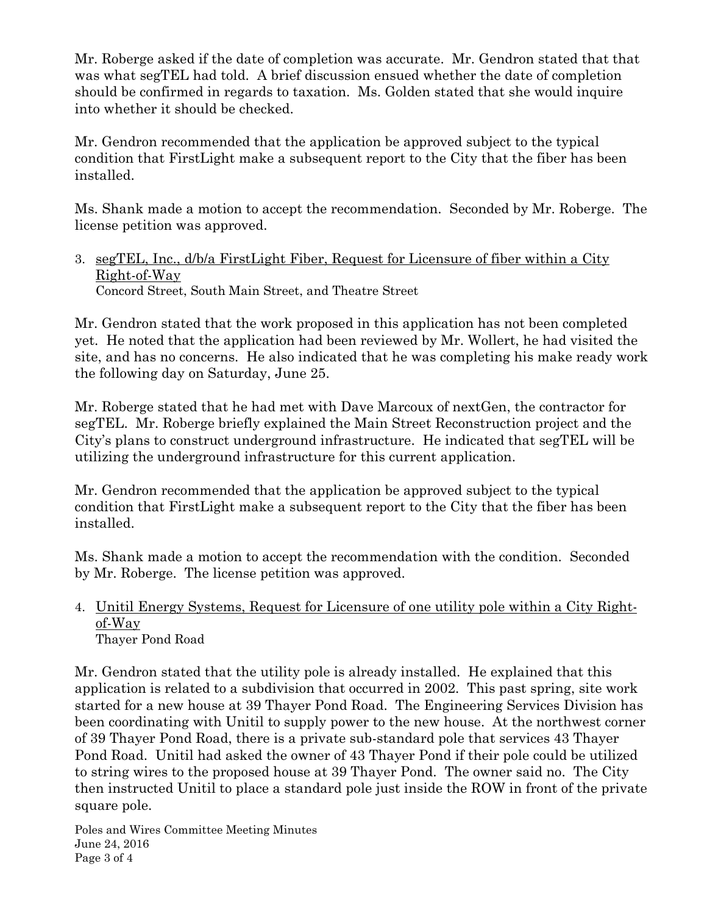Mr. Roberge asked if the date of completion was accurate. Mr. Gendron stated that that was what segTEL had told. A brief discussion ensued whether the date of completion should be confirmed in regards to taxation. Ms. Golden stated that she would inquire into whether it should be checked.

Mr. Gendron recommended that the application be approved subject to the typical condition that FirstLight make a subsequent report to the City that the fiber has been installed.

Ms. Shank made a motion to accept the recommendation. Seconded by Mr. Roberge. The license petition was approved.

3. segTEL, Inc., d/b/a FirstLight Fiber, Request for Licensure of fiber within a City Right-of-Way Concord Street, South Main Street, and Theatre Street

Mr. Gendron stated that the work proposed in this application has not been completed yet. He noted that the application had been reviewed by Mr. Wollert, he had visited the site, and has no concerns. He also indicated that he was completing his make ready work the following day on Saturday, June 25.

Mr. Roberge stated that he had met with Dave Marcoux of nextGen, the contractor for segTEL. Mr. Roberge briefly explained the Main Street Reconstruction project and the City's plans to construct underground infrastructure. He indicated that segTEL will be utilizing the underground infrastructure for this current application.

Mr. Gendron recommended that the application be approved subject to the typical condition that FirstLight make a subsequent report to the City that the fiber has been installed.

Ms. Shank made a motion to accept the recommendation with the condition. Seconded by Mr. Roberge. The license petition was approved.

#### 4. Unitil Energy Systems, Request for Licensure of one utility pole within a City Rightof-Way Thayer Pond Road

Mr. Gendron stated that the utility pole is already installed. He explained that this application is related to a subdivision that occurred in 2002. This past spring, site work started for a new house at 39 Thayer Pond Road. The Engineering Services Division has been coordinating with Unitil to supply power to the new house. At the northwest corner of 39 Thayer Pond Road, there is a private sub-standard pole that services 43 Thayer Pond Road. Unitil had asked the owner of 43 Thayer Pond if their pole could be utilized to string wires to the proposed house at 39 Thayer Pond. The owner said no. The City then instructed Unitil to place a standard pole just inside the ROW in front of the private square pole.

Poles and Wires Committee Meeting Minutes June 24, 2016 Page 3 of 4